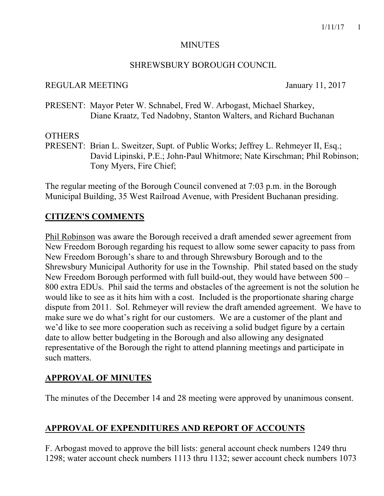#### MINUTES

#### SHREWSBURY BOROUGH COUNCIL

#### REGULAR MEETING January 11, 2017

PRESENT: Mayor Peter W. Schnabel, Fred W. Arbogast, Michael Sharkey, Diane Kraatz, Ted Nadobny, Stanton Walters, and Richard Buchanan

#### **OTHERS**

PRESENT: Brian L. Sweitzer, Supt. of Public Works; Jeffrey L. Rehmeyer II, Esq.; David Lipinski, P.E.; John-Paul Whitmore; Nate Kirschman; Phil Robinson; Tony Myers, Fire Chief;

The regular meeting of the Borough Council convened at 7:03 p.m. in the Borough Municipal Building, 35 West Railroad Avenue, with President Buchanan presiding.

## **CITIZEN'S COMMENTS**

Phil Robinson was aware the Borough received a draft amended sewer agreement from New Freedom Borough regarding his request to allow some sewer capacity to pass from New Freedom Borough's share to and through Shrewsbury Borough and to the Shrewsbury Municipal Authority for use in the Township. Phil stated based on the study New Freedom Borough performed with full build-out, they would have between 500 – 800 extra EDUs. Phil said the terms and obstacles of the agreement is not the solution he would like to see as it hits him with a cost. Included is the proportionate sharing charge dispute from 2011. Sol. Rehmeyer will review the draft amended agreement. We have to make sure we do what's right for our customers. We are a customer of the plant and we'd like to see more cooperation such as receiving a solid budget figure by a certain date to allow better budgeting in the Borough and also allowing any designated representative of the Borough the right to attend planning meetings and participate in such matters.

# **APPROVAL OF MINUTES**

The minutes of the December 14 and 28 meeting were approved by unanimous consent.

# **APPROVAL OF EXPENDITURES AND REPORT OF ACCOUNTS**

F. Arbogast moved to approve the bill lists: general account check numbers 1249 thru 1298; water account check numbers 1113 thru 1132; sewer account check numbers 1073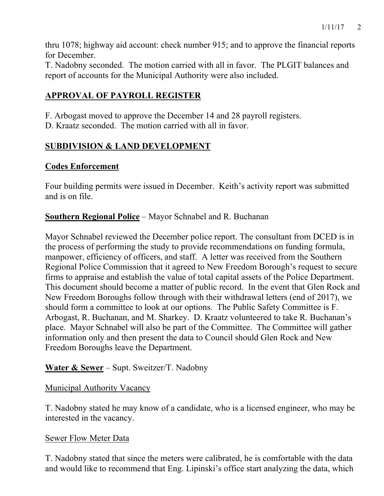thru 1078; highway aid account: check number 915; and to approve the financial reports for December.

T. Nadobny seconded. The motion carried with all in favor. The PLGIT balances and report of accounts for the Municipal Authority were also included.

# **APPROVAL OF PAYROLL REGISTER**

F. Arbogast moved to approve the December 14 and 28 payroll registers.

D. Kraatz seconded. The motion carried with all in favor.

# **SUBDIVISION & LAND DEVELOPMENT**

## **Codes Enforcement**

Four building permits were issued in December. Keith's activity report was submitted and is on file.

**Southern Regional Police** – Mayor Schnabel and R. Buchanan

Mayor Schnabel reviewed the December police report. The consultant from DCED is in the process of performing the study to provide recommendations on funding formula, manpower, efficiency of officers, and staff. A letter was received from the Southern Regional Police Commission that it agreed to New Freedom Borough's request to secure firms to appraise and establish the value of total capital assets of the Police Department. This document should become a matter of public record. In the event that Glen Rock and New Freedom Boroughs follow through with their withdrawal letters (end of 2017), we should form a committee to look at our options. The Public Safety Committee is F. Arbogast, R. Buchanan, and M. Sharkey. D. Kraatz volunteered to take R. Buchanan's place. Mayor Schnabel will also be part of the Committee. The Committee will gather information only and then present the data to Council should Glen Rock and New Freedom Boroughs leave the Department.

# **Water & Sewer** – Supt. Sweitzer/T. Nadobny

## Municipal Authority Vacancy

T. Nadobny stated he may know of a candidate, who is a licensed engineer, who may be interested in the vacancy.

## Sewer Flow Meter Data

T. Nadobny stated that since the meters were calibrated, he is comfortable with the data and would like to recommend that Eng. Lipinski's office start analyzing the data, which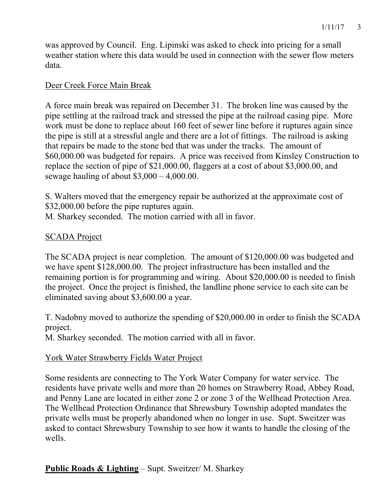was approved by Council. Eng. Lipinski was asked to check into pricing for a small weather station where this data would be used in connection with the sewer flow meters data.

#### Deer Creek Force Main Break

A force main break was repaired on December 31. The broken line was caused by the pipe settling at the railroad track and stressed the pipe at the railroad casing pipe. More work must be done to replace about 160 feet of sewer line before it ruptures again since the pipe is still at a stressful angle and there are a lot of fittings. The railroad is asking that repairs be made to the stone bed that was under the tracks. The amount of \$60,000.00 was budgeted for repairs. A price was received from Kinsley Construction to replace the section of pipe of \$21,000.00, flaggers at a cost of about \$3,000.00, and sewage hauling of about  $$3,000 - 4,000.00$ .

S. Walters moved that the emergency repair be authorized at the approximate cost of \$32,000.00 before the pipe ruptures again.

M. Sharkey seconded. The motion carried with all in favor.

#### SCADA Project

The SCADA project is near completion. The amount of \$120,000.00 was budgeted and we have spent \$128,000.00. The project infrastructure has been installed and the remaining portion is for programming and wiring. About \$20,000.00 is needed to finish the project. Once the project is finished, the landline phone service to each site can be eliminated saving about \$3,600.00 a year.

T. Nadobny moved to authorize the spending of \$20,000.00 in order to finish the SCADA project.

M. Sharkey seconded. The motion carried with all in favor.

#### York Water Strawberry Fields Water Project

Some residents are connecting to The York Water Company for water service. The residents have private wells and more than 20 homes on Strawberry Road, Abbey Road, and Penny Lane are located in either zone 2 or zone 3 of the Wellhead Protection Area. The Wellhead Protection Ordinance that Shrewsbury Township adopted mandates the private wells must be properly abandoned when no longer in use. Supt. Sweitzer was asked to contact Shrewsbury Township to see how it wants to handle the closing of the wells.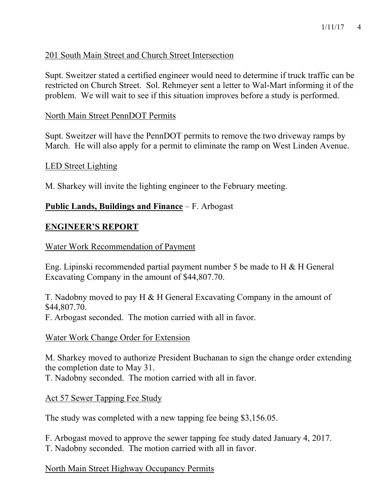## 201 South Main Street and Church Street Intersection

Supt. Sweitzer stated a certified engineer would need to determine if truck traffic can be restricted on Church Street. Sol. Rehmeyer sent a letter to Wal-Mart informing it of the problem. We will wait to see if this situation improves before a study is performed.

#### North Main Street PennDOT Permits

Supt. Sweitzer will have the PennDOT permits to remove the two driveway ramps by March. He will also apply for a permit to eliminate the ramp on West Linden Avenue.

#### LED Street Lighting

M. Sharkey will invite the lighting engineer to the February meeting.

## **Public Lands, Buildings and Finance** – F. Arbogast

## **ENGINEER'S REPORT**

#### Water Work Recommendation of Payment

Eng. Lipinski recommended partial payment number 5 be made to H & H General Excavating Company in the amount of \$44,807.70.

T. Nadobny moved to pay H & H General Excavating Company in the amount of \$44,807.70.

F. Arbogast seconded. The motion carried with all in favor.

#### Water Work Change Order for Extension

M. Sharkey moved to authorize President Buchanan to sign the change order extending the completion date to May 31.

T. Nadobny seconded. The motion carried with all in favor.

## Act 57 Sewer Tapping Fee Study

The study was completed with a new tapping fee being \$3,156.05.

F. Arbogast moved to approve the sewer tapping fee study dated January 4, 2017. T. Nadobny seconded. The motion carried with all in favor.

## North Main Street Highway Occupancy Permits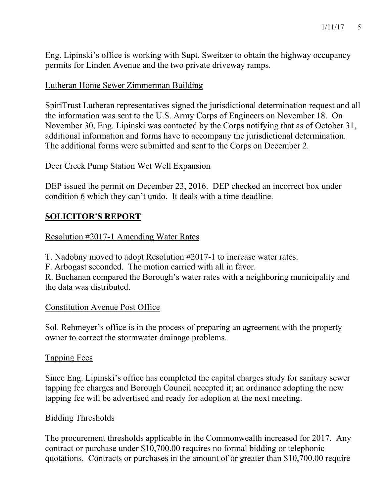Eng. Lipinski's office is working with Supt. Sweitzer to obtain the highway occupancy permits for Linden Avenue and the two private driveway ramps.

## Lutheran Home Sewer Zimmerman Building

SpiriTrust Lutheran representatives signed the jurisdictional determination request and all the information was sent to the U.S. Army Corps of Engineers on November 18. On November 30, Eng. Lipinski was contacted by the Corps notifying that as of October 31, additional information and forms have to accompany the jurisdictional determination. The additional forms were submitted and sent to the Corps on December 2.

#### Deer Creek Pump Station Wet Well Expansion

DEP issued the permit on December 23, 2016. DEP checked an incorrect box under condition 6 which they can't undo. It deals with a time deadline.

## **SOLICITOR'S REPORT**

#### Resolution #2017-1 Amending Water Rates

T. Nadobny moved to adopt Resolution #2017-1 to increase water rates.

F. Arbogast seconded. The motion carried with all in favor.

R. Buchanan compared the Borough's water rates with a neighboring municipality and the data was distributed.

#### Constitution Avenue Post Office

Sol. Rehmeyer's office is in the process of preparing an agreement with the property owner to correct the stormwater drainage problems.

#### Tapping Fees

Since Eng. Lipinski's office has completed the capital charges study for sanitary sewer tapping fee charges and Borough Council accepted it; an ordinance adopting the new tapping fee will be advertised and ready for adoption at the next meeting.

#### Bidding Thresholds

The procurement thresholds applicable in the Commonwealth increased for 2017. Any contract or purchase under \$10,700.00 requires no formal bidding or telephonic quotations. Contracts or purchases in the amount of or greater than \$10,700.00 require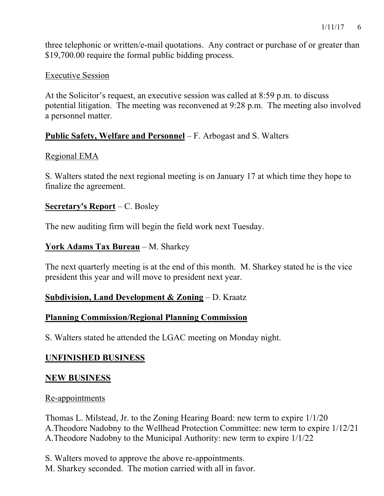three telephonic or written/e-mail quotations. Any contract or purchase of or greater than \$19,700.00 require the formal public bidding process.

## Executive Session

At the Solicitor's request, an executive session was called at 8:59 p.m. to discuss potential litigation. The meeting was reconvened at 9:28 p.m. The meeting also involved a personnel matter.

# **Public Safety, Welfare and Personnel** – F. Arbogast and S. Walters

## Regional EMA

S. Walters stated the next regional meeting is on January 17 at which time they hope to finalize the agreement.

## **Secretary's Report** – C. Bosley

The new auditing firm will begin the field work next Tuesday.

## **York Adams Tax Bureau** – M. Sharkey

The next quarterly meeting is at the end of this month. M. Sharkey stated he is the vice president this year and will move to president next year.

# **Subdivision, Land Development & Zoning** – D. Kraatz

# **Planning Commission/Regional Planning Commission**

S. Walters stated he attended the LGAC meeting on Monday night.

# **UNFINISHED BUSINESS**

# **NEW BUSINESS**

## Re-appointments

Thomas L. Milstead, Jr. to the Zoning Hearing Board: new term to expire 1/1/20 A.Theodore Nadobny to the Wellhead Protection Committee: new term to expire 1/12/21 A.Theodore Nadobny to the Municipal Authority: new term to expire 1/1/22

- S. Walters moved to approve the above re-appointments.
- M. Sharkey seconded. The motion carried with all in favor.